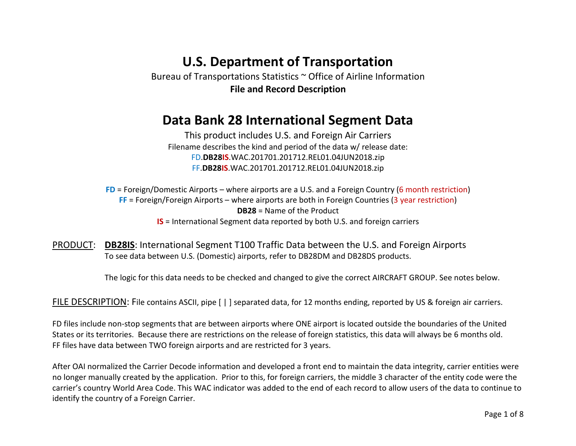# **U.S. Department of Transportation**

Bureau of Transportations Statistics ~ Office of Airline Information **File and Record Description**

## **Data Bank 28 International Segment Data**

This product includes U.S. and Foreign Air Carriers Filename describes the kind and period of the data w/ release date: FD.**DB28IS**.WAC.201701.201712.REL01.04JUN2018.zip FF.**DB28IS**.WAC.201701.201712.REL01.04JUN2018.zip

**FD** = Foreign/Domestic Airports – where airports are a U.S. and a Foreign Country (6 month restriction) **FF** = Foreign/Foreign Airports – where airports are both in Foreign Countries (3 year restriction) **DB28** = Name of the Product **IS** = International Segment data reported by both U.S. and foreign carriers

PRODUCT: **DB28IS**: International Segment T100 Traffic Data between the U.S. and Foreign Airports To see data between U.S. (Domestic) airports, refer to DB28DM and DB28DS products.

The logic for this data needs to be checked and changed to give the correct AIRCRAFT GROUP. See notes below.

FILE DESCRIPTION: File contains ASCII, pipe [ | ] separated data, for 12 months ending, reported by US & foreign air carriers.

FD files include non-stop segments that are between airports where ONE airport is located outside the boundaries of the United States or its territories. Because there are restrictions on the release of foreign statistics, this data will always be 6 months old. FF files have data between TWO foreign airports and are restricted for 3 years.

After OAI normalized the Carrier Decode information and developed a front end to maintain the data integrity, carrier entities were no longer manually created by the application. Prior to this, for foreign carriers, the middle 3 character of the entity code were the carrier's country World Area Code. This WAC indicator was added to the end of each record to allow users of the data to continue to identify the country of a Foreign Carrier.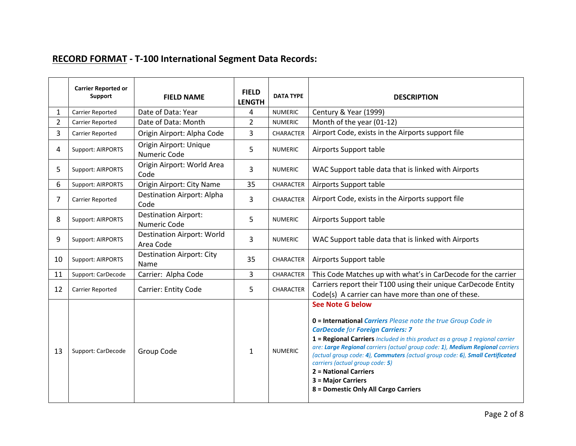### **RECORD FORMAT - T-100 International Segment Data Records:**

|                | <b>Carrier Reported or</b><br>Support | <b>FIELD NAME</b>                                  | <b>FIELD</b><br><b>LENGTH</b> | <b>DATA TYPE</b> | <b>DESCRIPTION</b>                                                                                                                                                                                                                                                                                                                                                                                                                                                                                                              |
|----------------|---------------------------------------|----------------------------------------------------|-------------------------------|------------------|---------------------------------------------------------------------------------------------------------------------------------------------------------------------------------------------------------------------------------------------------------------------------------------------------------------------------------------------------------------------------------------------------------------------------------------------------------------------------------------------------------------------------------|
| 1              | Carrier Reported                      | Date of Data: Year                                 | 4                             | <b>NUMERIC</b>   | Century & Year (1999)                                                                                                                                                                                                                                                                                                                                                                                                                                                                                                           |
| $\overline{2}$ | Carrier Reported                      | Date of Data: Month                                | $\overline{2}$                | <b>NUMERIC</b>   | Month of the year (01-12)                                                                                                                                                                                                                                                                                                                                                                                                                                                                                                       |
| 3              | Carrier Reported                      | Origin Airport: Alpha Code                         | 3                             | <b>CHARACTER</b> | Airport Code, exists in the Airports support file                                                                                                                                                                                                                                                                                                                                                                                                                                                                               |
| 4              | Support: AIRPORTS                     | Origin Airport: Unique<br>Numeric Code             | 5                             | <b>NUMERIC</b>   | Airports Support table                                                                                                                                                                                                                                                                                                                                                                                                                                                                                                          |
| 5              | Support: AIRPORTS                     | Origin Airport: World Area<br>Code                 | 3                             | <b>NUMERIC</b>   | WAC Support table data that is linked with Airports                                                                                                                                                                                                                                                                                                                                                                                                                                                                             |
| 6              | Support: AIRPORTS                     | Origin Airport: City Name                          | 35                            | CHARACTER        | Airports Support table                                                                                                                                                                                                                                                                                                                                                                                                                                                                                                          |
| 7              | Carrier Reported                      | <b>Destination Airport: Alpha</b><br>Code          | 3                             | <b>CHARACTER</b> | Airport Code, exists in the Airports support file                                                                                                                                                                                                                                                                                                                                                                                                                                                                               |
| 8              | Support: AIRPORTS                     | <b>Destination Airport:</b><br><b>Numeric Code</b> | $5\phantom{.}$                | <b>NUMERIC</b>   | Airports Support table                                                                                                                                                                                                                                                                                                                                                                                                                                                                                                          |
| 9              | Support: AIRPORTS                     | <b>Destination Airport: World</b><br>Area Code     | 3                             | <b>NUMERIC</b>   | WAC Support table data that is linked with Airports                                                                                                                                                                                                                                                                                                                                                                                                                                                                             |
| 10             | Support: AIRPORTS                     | <b>Destination Airport: City</b><br>Name           | 35                            | CHARACTER        | Airports Support table                                                                                                                                                                                                                                                                                                                                                                                                                                                                                                          |
| 11             | Support: CarDecode                    | Carrier: Alpha Code                                | 3                             | CHARACTER        | This Code Matches up with what's in CarDecode for the carrier                                                                                                                                                                                                                                                                                                                                                                                                                                                                   |
| 12             | Carrier Reported                      | <b>Carrier: Entity Code</b>                        | 5                             | <b>CHARACTER</b> | Carriers report their T100 using their unique CarDecode Entity<br>Code(s) A carrier can have more than one of these.                                                                                                                                                                                                                                                                                                                                                                                                            |
| 13             | Support: CarDecode                    | Group Code                                         | $\mathbf{1}$                  | <b>NUMERIC</b>   | <b>See Note G below</b><br><b>0 = International Carriers</b> Please note the true Group Code in<br><b>CarDecode for Foreign Carriers: 7</b><br>$1$ = Regional Carriers <i>Included in this product as a group 1 regional carrier</i><br>are: Large Regional carriers (actual group code: 1), Medium Regional carriers<br>(actual group code: 4), Commuters (actual group code: 6), Small Certificated<br>carriers (actual group code: 5)<br>2 = National Carriers<br>3 = Major Carriers<br>8 = Domestic Only All Cargo Carriers |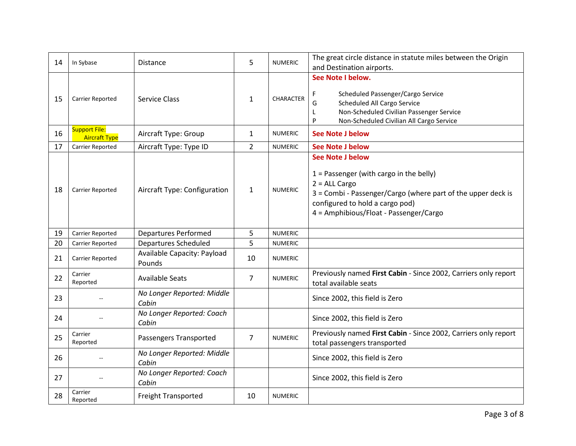| 14 | In Sybase                                    | <b>Distance</b>                       | 5              | <b>NUMERIC</b>   | The great circle distance in statute miles between the Origin<br>and Destination airports.                                                                                                                                           |
|----|----------------------------------------------|---------------------------------------|----------------|------------------|--------------------------------------------------------------------------------------------------------------------------------------------------------------------------------------------------------------------------------------|
| 15 | Carrier Reported                             | <b>Service Class</b>                  | $\mathbf{1}$   | <b>CHARACTER</b> | See Note I below.<br>F<br>Scheduled Passenger/Cargo Service<br>G<br>Scheduled All Cargo Service<br>Non-Scheduled Civilian Passenger Service<br>L<br>P<br>Non-Scheduled Civilian All Cargo Service                                    |
| 16 | <b>Support File:</b><br><b>Aircraft Type</b> | Aircraft Type: Group                  | $\mathbf{1}$   | <b>NUMERIC</b>   | <b>See Note J below</b>                                                                                                                                                                                                              |
| 17 | Carrier Reported                             | Aircraft Type: Type ID                | $\overline{2}$ | <b>NUMERIC</b>   | <b>See Note J below</b>                                                                                                                                                                                                              |
| 18 | Carrier Reported                             | Aircraft Type: Configuration          | $\mathbf{1}$   | <b>NUMERIC</b>   | <b>See Note J below</b><br>$1$ = Passenger (with cargo in the belly)<br>$2 = ALL Cargo$<br>3 = Combi - Passenger/Cargo (where part of the upper deck is<br>configured to hold a cargo pod)<br>4 = Amphibious/Float - Passenger/Cargo |
| 19 | Carrier Reported                             | <b>Departures Performed</b>           | 5              | <b>NUMERIC</b>   |                                                                                                                                                                                                                                      |
| 20 | Carrier Reported                             | Departures Scheduled                  | 5              | <b>NUMERIC</b>   |                                                                                                                                                                                                                                      |
| 21 | Carrier Reported                             | Available Capacity: Payload<br>Pounds | 10             | <b>NUMERIC</b>   |                                                                                                                                                                                                                                      |
| 22 | Carrier<br>Reported                          | <b>Available Seats</b>                | 7              | <b>NUMERIC</b>   | Previously named First Cabin - Since 2002, Carriers only report<br>total available seats                                                                                                                                             |
| 23 |                                              | No Longer Reported: Middle<br>Cabin   |                |                  | Since 2002, this field is Zero                                                                                                                                                                                                       |
| 24 |                                              | No Longer Reported: Coach<br>Cabin    |                |                  | Since 2002, this field is Zero                                                                                                                                                                                                       |
| 25 | Carrier<br>Reported                          | Passengers Transported                | $\overline{7}$ | <b>NUMERIC</b>   | Previously named First Cabin - Since 2002, Carriers only report<br>total passengers transported                                                                                                                                      |
| 26 |                                              | No Longer Reported: Middle<br>Cabin   |                |                  | Since 2002, this field is Zero                                                                                                                                                                                                       |
| 27 |                                              | No Longer Reported: Coach             |                |                  | Since 2002, this field is Zero                                                                                                                                                                                                       |
|    |                                              | Cabin                                 |                |                  |                                                                                                                                                                                                                                      |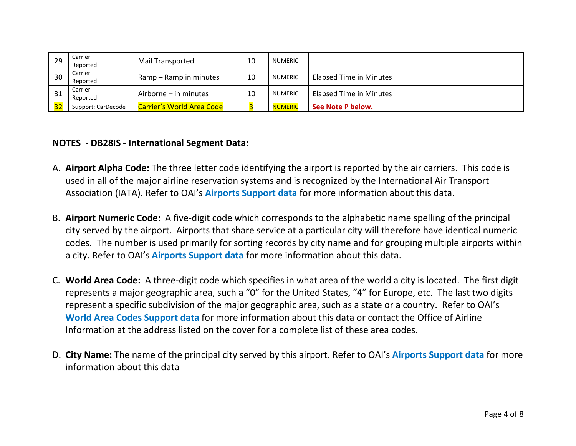| 29 | Carrier<br>Reported | Mail Transported                 | 10 | <b>NUMERIC</b> |                                |
|----|---------------------|----------------------------------|----|----------------|--------------------------------|
| 30 | Carrier<br>Reported | Ramp – Ramp in minutes           | 10 | <b>NUMERIC</b> | <b>Elapsed Time in Minutes</b> |
| 31 | Carrier<br>Reported | Airborne – in minutes            | 10 | <b>NUMERIC</b> | <b>Elapsed Time in Minutes</b> |
|    | Support: CarDecode  | <b>Carrier's World Area Code</b> |    | <b>NUMERIC</b> | See Note P below.              |

#### **NOTES - DB28IS - International Segment Data:**

- A. **Airport Alpha Code:** The three letter code identifying the airport is reported by the air carriers. This code is used in all of the major airline reservation systems and is recognized by the International Air Transport Association (IATA). Refer to OAI's **Airports Support data** for more information about this data.
- B. **Airport Numeric Code:** A five-digit code which corresponds to the alphabetic name spelling of the principal city served by the airport. Airports that share service at a particular city will therefore have identical numeric codes. The number is used primarily for sorting records by city name and for grouping multiple airports within a city. Refer to OAI's **Airports Support data** for more information about this data.
- C. **World Area Code:** A three-digit code which specifies in what area of the world a city is located. The first digit represents a major geographic area, such a "0" for the United States, "4" for Europe, etc. The last two digits represent a specific subdivision of the major geographic area, such as a state or a country. Refer to OAI's **World Area Codes Support data** for more information about this data or contact the Office of Airline Information at the address listed on the cover for a complete list of these area codes.
- D. **City Name:** The name of the principal city served by this airport. Refer to OAI's **Airports Support data** for more information about this data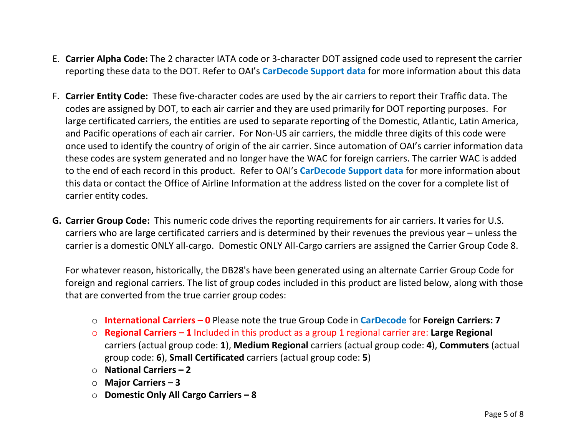- E. **Carrier Alpha Code:** The 2 character IATA code or 3-character DOT assigned code used to represent the carrier reporting these data to the DOT. Refer to OAI's **CarDecode Support data** for more information about this data
- F. **Carrier Entity Code:** These five-character codes are used by the air carriers to report their Traffic data. The codes are assigned by DOT, to each air carrier and they are used primarily for DOT reporting purposes. For large certificated carriers, the entities are used to separate reporting of the Domestic, Atlantic, Latin America, and Pacific operations of each air carrier. For Non-US air carriers, the middle three digits of this code were once used to identify the country of origin of the air carrier. Since automation of OAI's carrier information data these codes are system generated and no longer have the WAC for foreign carriers. The carrier WAC is added to the end of each record in this product. Refer to OAI's **CarDecode Support data** for more information about this data or contact the Office of Airline Information at the address listed on the cover for a complete list of carrier entity codes.
- **G. Carrier Group Code:** This numeric code drives the reporting requirements for air carriers. It varies for U.S. carriers who are large certificated carriers and is determined by their revenues the previous year – unless the carrier is a domestic ONLY all-cargo. Domestic ONLY All-Cargo carriers are assigned the Carrier Group Code 8.

For whatever reason, historically, the DB28's have been generated using an alternate Carrier Group Code for foreign and regional carriers. The list of group codes included in this product are listed below, along with those that are converted from the true carrier group codes:

- o **International Carriers – 0** Please note the true Group Code in **CarDecode** for **Foreign Carriers: 7**
- o **Regional Carriers – 1** Included in this product as a group 1 regional carrier are: **Large Regional** carriers (actual group code: **1**), **Medium Regional** carriers (actual group code: **4**), **Commuters** (actual group code: **6**), **Small Certificated** carriers (actual group code: **5**)
- o **National Carriers – 2**
- o **Major Carriers – 3**
- o **Domestic Only All Cargo Carriers – 8**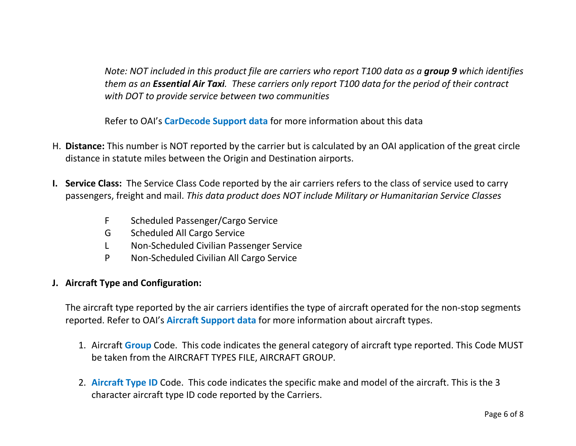*Note: NOT included in this product file are carriers who report T100 data as a group 9 which identifies them as an Essential Air Taxi. These carriers only report T100 data for the period of their contract with DOT to provide service between two communities*

Refer to OAI's **CarDecode Support data** for more information about this data

- H. **Distance:** This number is NOT reported by the carrier but is calculated by an OAI application of the great circle distance in statute miles between the Origin and Destination airports.
- **I. Service Class:** The Service Class Code reported by the air carriers refers to the class of service used to carry passengers, freight and mail. *This data product does NOT include Military or Humanitarian Service Classes*
	- F Scheduled Passenger/Cargo Service
	- G Scheduled All Cargo Service
	- L Non-Scheduled Civilian Passenger Service
	- P Non-Scheduled Civilian All Cargo Service

#### **J. Aircraft Type and Configuration:**

The aircraft type reported by the air carriers identifies the type of aircraft operated for the non-stop segments reported. Refer to OAI's **Aircraft Support data** for more information about aircraft types.

- 1. Aircraft **Group** Code. This code indicates the general category of aircraft type reported. This Code MUST be taken from the AIRCRAFT TYPES FILE, AIRCRAFT GROUP.
- 2. **Aircraft Type ID** Code. This code indicates the specific make and model of the aircraft. This is the 3 character aircraft type ID code reported by the Carriers.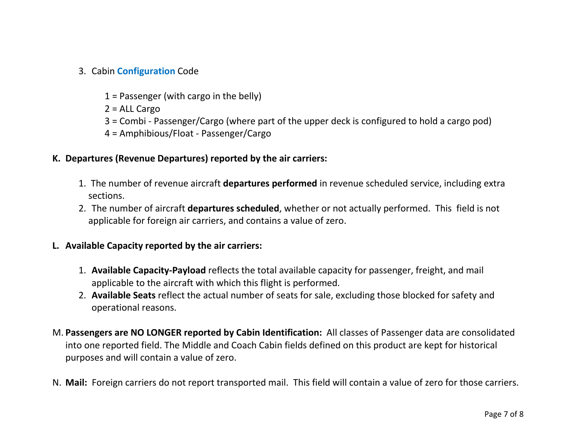### 3. Cabin **Configuration** Code

 $1$  = Passenger (with cargo in the belly)

2 = ALL Cargo

- 3 = Combi Passenger/Cargo (where part of the upper deck is configured to hold a cargo pod)
- 4 = Amphibious/Float Passenger/Cargo

#### **K. Departures (Revenue Departures) reported by the air carriers:**

- 1. The number of revenue aircraft **departures performed** in revenue scheduled service, including extra sections.
- 2. The number of aircraft **departures scheduled**, whether or not actually performed. This field is not applicable for foreign air carriers, and contains a value of zero.

#### **L. Available Capacity reported by the air carriers:**

- 1. **Available Capacity-Payload** reflects the total available capacity for passenger, freight, and mail applicable to the aircraft with which this flight is performed.
- 2. **Available Seats** reflect the actual number of seats for sale, excluding those blocked for safety and operational reasons.
- M. **Passengers are NO LONGER reported by Cabin Identification:** All classes of Passenger data are consolidated into one reported field. The Middle and Coach Cabin fields defined on this product are kept for historical purposes and will contain a value of zero.
- N. **Mail:** Foreign carriers do not report transported mail. This field will contain a value of zero for those carriers.